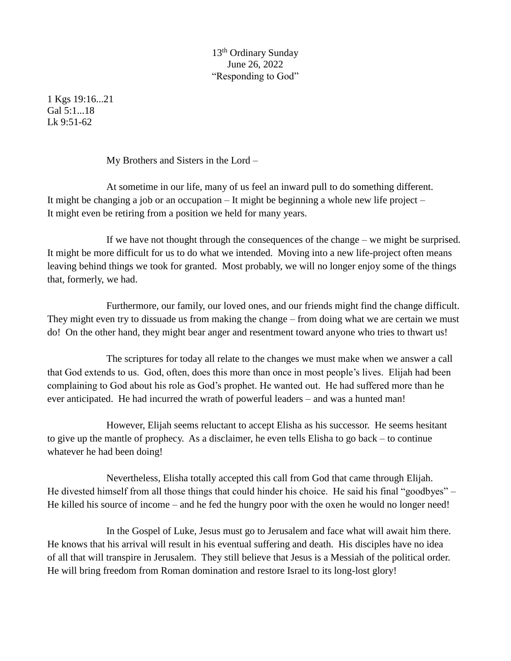## 13th Ordinary Sunday June 26, 2022 "Responding to God"

1 Kgs 19:16...21 Gal 5:1...18  $Lk$  9:51-62

My Brothers and Sisters in the Lord –

At sometime in our life, many of us feel an inward pull to do something different. It might be changing a job or an occupation  $-I$  t might be beginning a whole new life project  $-I$ It might even be retiring from a position we held for many years.

If we have not thought through the consequences of the change – we might be surprised. It might be more difficult for us to do what we intended. Moving into a new life-project often means leaving behind things we took for granted. Most probably, we will no longer enjoy some of the things that, formerly, we had.

Furthermore, our family, our loved ones, and our friends might find the change difficult. They might even try to dissuade us from making the change – from doing what we are certain we must do! On the other hand, they might bear anger and resentment toward anyone who tries to thwart us!

The scriptures for today all relate to the changes we must make when we answer a call that God extends to us. God, often, does this more than once in most people's lives. Elijah had been complaining to God about his role as God's prophet. He wanted out. He had suffered more than he ever anticipated. He had incurred the wrath of powerful leaders – and was a hunted man!

However, Elijah seems reluctant to accept Elisha as his successor. He seems hesitant to give up the mantle of prophecy. As a disclaimer, he even tells Elisha to go back – to continue whatever he had been doing!

Nevertheless, Elisha totally accepted this call from God that came through Elijah. He divested himself from all those things that could hinder his choice. He said his final "goodbyes" – He killed his source of income – and he fed the hungry poor with the oxen he would no longer need!

In the Gospel of Luke, Jesus must go to Jerusalem and face what will await him there. He knows that his arrival will result in his eventual suffering and death. His disciples have no idea of all that will transpire in Jerusalem. They still believe that Jesus is a Messiah of the political order. He will bring freedom from Roman domination and restore Israel to its long-lost glory!